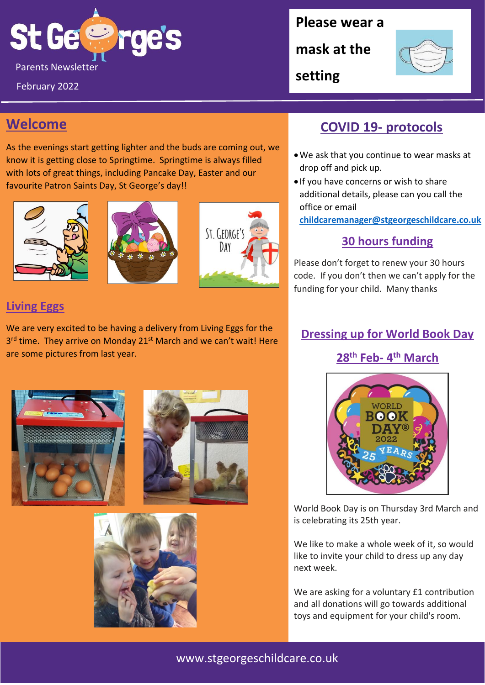

February 2022

**Please wear a** 

**mask at the** 

**setting**



## **Welcome**

As the evenings start getting lighter and the buds are coming out, we know it is getting close to Springtime. Springtime is always filled with lots of great things, including Pancake Day, Easter and our favourite Patron Saints Day, St George's day!!







### **Living Eggs**

We are very excited to be having a delivery from Living Eggs for the 3<sup>rd</sup> time. They arrive on Monday 21<sup>st</sup> March and we can't wait! Here are some pictures from last year.







## **COVID 19- protocols**

- •We ask that you continue to wear masks at drop off and pick up.
- If you have concerns or wish to share additional details, please can you call the office or email

**[childcaremanager@stgeorgeschildcare.co.uk](mailto:childcaremanager@stgeorgeschildcare.co.uk)**

## **30 hours funding**

Please don't forget to renew your 30 hours code. If you don't then we can't apply for the funding for your child. Many thanks

### **Dressing up for World Book Day**

## **28th Feb- 4 th March**



World Book Day is on Thursday 3rd March and is celebrating its 25th year.

We like to make a whole week of it, so would like to invite your child to dress up any day next week.

We are asking for a voluntary £1 contribution and all donations will go towards additional toys and equipment for your child's room.

## www.stgeorgeschildcare.co.uk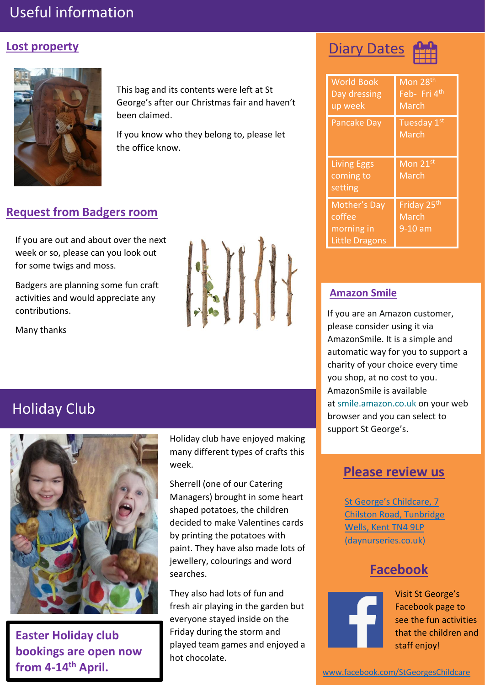# Useful information

#### **Lost property**



This bag and its contents were left at St George's after our Christmas fair and haven't been claimed.

If you know who they belong to, please let the office know.

## **Request from Badgers room**

If you are out and about over the next week or so, please can you look out for some twigs and moss.

Badgers are planning some fun craft activities and would appreciate any contributions.

Many thanks



# Holiday Club



**Easter Holiday club bookings are open now from 4-14th April.**

Holiday club have enjoyed making many different types of crafts this week.

Sherrell (one of our Catering Managers) brought in some heart shaped potatoes, the children decided to make Valentines cards by printing the potatoes with paint. They have also made lots of jewellery, colourings and word searches.

They also had lots of fun and fresh air playing in the garden but everyone stayed inside on the Friday during the storm and played team games and enjoyed a hot chocolate.

**Diary Dates** 



| <b>World Book</b><br>Day dressing<br>up week                  | Mon 28 <sup>th</sup><br>Feb- Fri 4th<br>March |
|---------------------------------------------------------------|-----------------------------------------------|
| <b>Pancake Day</b>                                            | Tuesday <sub>1st</sub><br>March               |
| <b>Living Eggs</b><br>coming to<br>setting                    | Mon 21st<br>March                             |
| Mother's Day<br>coffee<br>morning in<br><b>Little Dragons</b> | Friday 25 <sup>th</sup><br>March<br>9-10 am   |

#### **Amazon Smile**

If you are an Amazon customer, please consider using it via AmazonSmile. It is a simple and automatic way for you to support a charity of your choice every time you shop, at no cost to you. AmazonSmile is available at [smile.amazon.co.uk](https://smile.amazon.co.uk/) on your web browser and you can select to support St George's.

## **Please review us**

St George's Childcare, 7 [Chilston Road, Tunbridge](https://www.daynurseries.co.uk/daynursery.cfm/searchazref/50001050GEOA/rcsid/1001#submit-review-tab)  [Wells, Kent TN4 9LP](https://www.daynurseries.co.uk/daynursery.cfm/searchazref/50001050GEOA/rcsid/1001#submit-review-tab)  [\(daynurseries.co.uk\)](https://www.daynurseries.co.uk/daynursery.cfm/searchazref/50001050GEOA/rcsid/1001#submit-review-tab)

## **Facebook**



Visit St George's Facebook page to see the fun activities that the children and staff enjoy!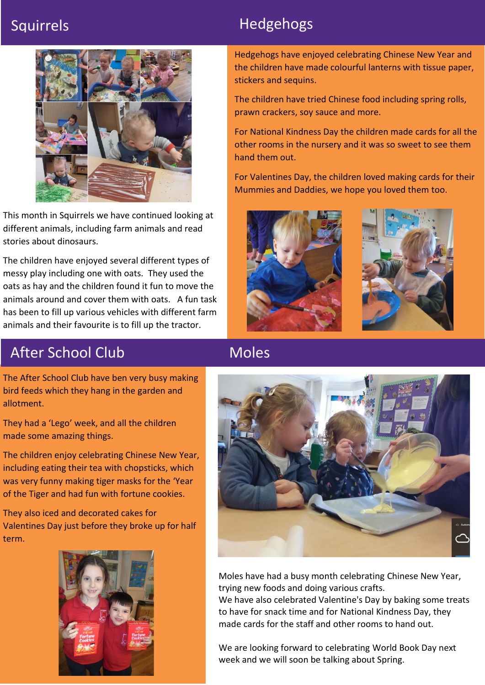

This month in Squirrels we have continued looking at different animals, including farm animals and read stories about dinosaurs.

The children have enjoyed several different types of messy play including one with oats. They used the oats as hay and the children found it fun to move the animals around and cover them with oats. A fun task has been to fill up various vehicles with different farm animals and their favourite is to fill up the tractor.

# Squirrels **Hedgehogs**

Hedgehogs have enjoyed celebrating Chinese New Year and the children have made colourful lanterns with tissue paper, stickers and sequins.

The children have tried Chinese food including spring rolls, prawn crackers, soy sauce and more.

For National Kindness Day the children made cards for all the other rooms in the nursery and it was so sweet to see them hand them out.

For Valentines Day, the children loved making cards for their Mummies and Daddies, we hope you loved them too.





# After School Club

The After School Club have ben very busy making bird feeds which they hang in the garden and allotment.

They had a 'Lego' week, and all the children made some amazing things.

The children enjoy celebrating Chinese New Year, including eating their tea with chopsticks, which was very funny making tiger masks for the 'Year of the Tiger and had fun with fortune cookies.

They also iced and decorated cakes for Valentines Day just before they broke up for half term.



# Moles



Moles have had a busy month celebrating Chinese New Year, trying new foods and doing various crafts.

We have also celebrated Valentine's Day by baking some treats to have for snack time and for National Kindness Day, they made cards for the staff and other rooms to hand out.

week and we will soon be talking about Spring. We are looking forward to celebrating World Book Day next